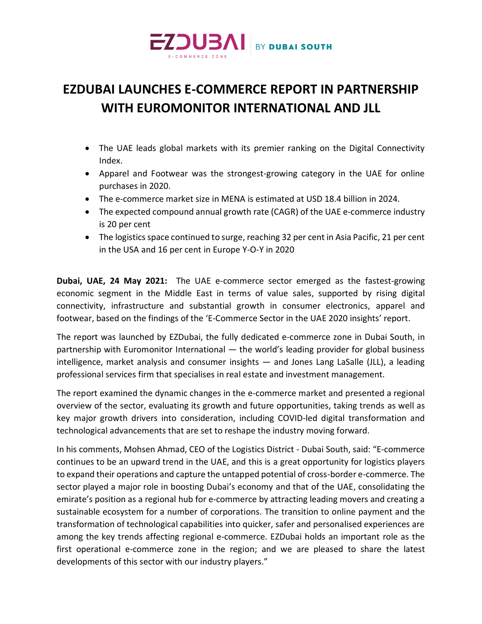

## **EZDUBAI LAUNCHES E-COMMERCE REPORT IN PARTNERSHIP WITH EUROMONITOR INTERNATIONAL AND JLL**

- The UAE leads global markets with its premier ranking on the Digital Connectivity Index.
- Apparel and Footwear was the strongest-growing category in the UAE for online purchases in 2020.
- The e-commerce market size in MENA is estimated at USD 18.4 billion in 2024.
- The expected compound annual growth rate (CAGR) of the UAE e-commerce industry is 20 per cent
- The logistics space continued to surge, reaching 32 per cent in Asia Pacific, 21 per cent in the USA and 16 per cent in Europe Y-O-Y in 2020

**Dubai, UAE, 24 May 2021:** The UAE e-commerce sector emerged as the fastest-growing economic segment in the Middle East in terms of value sales, supported by rising digital connectivity, infrastructure and substantial growth in consumer electronics, apparel and footwear, based on the findings of the 'E-Commerce Sector in the UAE 2020 insights' report.

The report was launched by EZDubai, the fully dedicated e-commerce zone in Dubai South, in partnership with Euromonitor International — the world's leading provider for global business intelligence, market analysis and consumer insights — and Jones Lang LaSalle (JLL), a leading professional services firm that specialises in real estate and investment management.

The report examined the dynamic changes in the e-commerce market and presented a regional overview of the sector, evaluating its growth and future opportunities, taking trends as well as key major growth drivers into consideration, including COVID-led digital transformation and technological advancements that are set to reshape the industry moving forward.

In his comments, Mohsen Ahmad, CEO of the Logistics District - Dubai South, said: "E-commerce continues to be an upward trend in the UAE, and this is a great opportunity for logistics players to expand their operations and capture the untapped potential of cross-border e-commerce. The sector played a major role in boosting Dubai's economy and that of the UAE, consolidating the emirate's position as a regional hub for e-commerce by attracting leading movers and creating a sustainable ecosystem for a number of corporations. The transition to online payment and the transformation of technological capabilities into quicker, safer and personalised experiences are among the key trends affecting regional e-commerce. EZDubai holds an important role as the first operational e-commerce zone in the region; and we are pleased to share the latest developments of this sector with our industry players."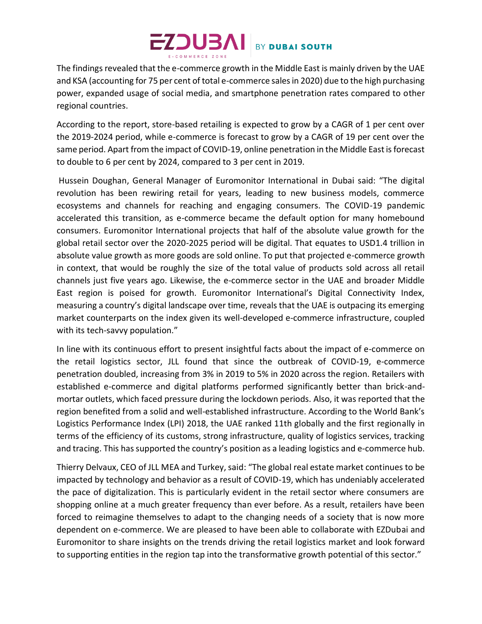## $EZDUSAI$  BY DUBAI SOUTH

The findings revealed that the e-commerce growth in the Middle East is mainly driven by the UAE and KSA (accounting for 75 per cent of total e-commerce sales in 2020) due to the high purchasing power, expanded usage of social media, and smartphone penetration rates compared to other regional countries.

According to the report, store-based retailing is expected to grow by a CAGR of 1 per cent over the 2019-2024 period, while e-commerce is forecast to grow by a CAGR of 19 per cent over the same period. Apart from the impact of COVID-19, online penetration in the Middle East is forecast to double to 6 per cent by 2024, compared to 3 per cent in 2019.

Hussein Doughan, General Manager of Euromonitor International in Dubai said: "The digital revolution has been rewiring retail for years, leading to new business models, commerce ecosystems and channels for reaching and engaging consumers. The COVID-19 pandemic accelerated this transition, as e-commerce became the default option for many homebound consumers. Euromonitor International projects that half of the absolute value growth for the global retail sector over the 2020-2025 period will be digital. That equates to USD1.4 trillion in absolute value growth as more goods are sold online. To put that projected e-commerce growth in context, that would be roughly the size of the total value of products sold across all retail channels just five years ago. Likewise, the e-commerce sector in the UAE and broader Middle East region is poised for growth. Euromonitor International's Digital Connectivity Index, measuring a country's digital landscape over time, reveals that the UAE is outpacing its emerging market counterparts on the index given its well-developed e-commerce infrastructure, coupled with its tech-savvy population."

In line with its continuous effort to present insightful facts about the impact of e-commerce on the retail logistics sector, JLL found that since the outbreak of COVID-19, e-commerce penetration doubled, increasing from 3% in 2019 to 5% in 2020 across the region. Retailers with established e-commerce and digital platforms performed significantly better than brick-andmortar outlets, which faced pressure during the lockdown periods. Also, it was reported that the region benefited from a solid and well-established infrastructure. According to the World Bank's Logistics Performance Index (LPI) 2018, the UAE ranked 11th globally and the first regionally in terms of the efficiency of its customs, strong infrastructure, quality of logistics services, tracking and tracing. This has supported the country's position as a leading logistics and e-commerce hub.

Thierry Delvaux, CEO of JLL MEA and Turkey, said: "The global real estate market continues to be impacted by technology and behavior as a result of COVID-19, which has undeniably accelerated the pace of digitalization. This is particularly evident in the retail sector where consumers are shopping online at a much greater frequency than ever before. As a result, retailers have been forced to reimagine themselves to adapt to the changing needs of a society that is now more dependent on e-commerce. We are pleased to have been able to collaborate with EZDubai and Euromonitor to share insights on the trends driving the retail logistics market and look forward to supporting entities in the region tap into the transformative growth potential of this sector."